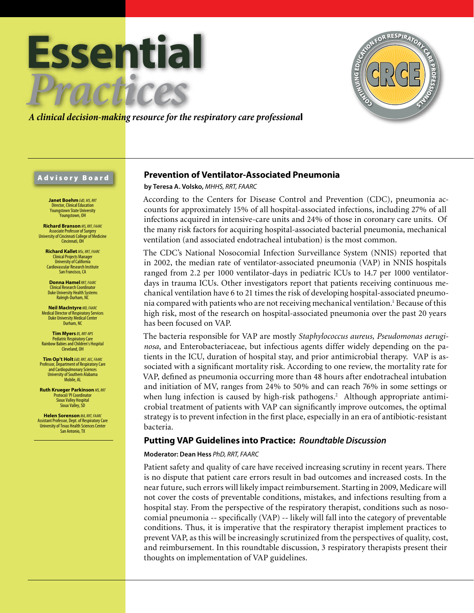



*A clinical decision-making resource for the respiratory care professiona*l

### Advisory Board

**Janet Boehm** *EdD, MS, RRT* Director, Clinical Education Youngstown State University .<br>Younastown, OH

**Richard Branson** *MS, RRT, FAARC* Associate Professor of Surgery University of Cincinnati College of Medicine Cincinnati, OH

**Richard Kallet** *MSc, RRT, FAARC* Clinical Projects Manager University of California Cardiovascular Research Institute San Francisco, CA

**Donna Hamel***RRT, FAARC* Clinical Research Coordinator Duke University Health Systems Raleigh-Durham, NC

**Neil MacIntyre** *MD, FAARC* Medical Director of Respiratory Services Duke University Medical Center Durham, NC

**Tim Myers** *BS, RRT-NPS* Pediatric Respiratory Care Rainbow Babies and Children's Hospital Cleveland, OH

**Tim Op't Holt***EdD, RRT, AEC, FAARC* Professor, Department of Respiratory Care and Cardiopulmonary Sciences University of Southern Alabama Mobile, AL

**Ruth Krueger Parkinson** *MS, RRT* Protocol/ PI Coordinator Sioux Valley Hospital Sioux Valley, SD

**Helen Sorenson** *MA, RRT, FAARC* Assistant Professor, Dept. of Respiratory Care University of Texas Health Sciences Center San Antonio, TX

# **Prevention of Ventilator-Associated Pneumonia**

**by Teresa A. Volsko,** *MHHS, RRT, FAARC*

According to the Centers for Disease Control and Prevention (CDC), pneumonia accounts for approximately 15% of all hospital-associated infections, including 27% of all infections acquired in intensive-care units and 24% of those in coronary care units. Of the many risk factors for acquiring hospital-associated bacterial pneumonia, mechanical ventilation (and associated endotracheal intubation) is the most common.

The CDC's National Nosocomial Infection Surveillance System (NNIS) reported that in 2002, the median rate of ventilator-associated pneumonia (VAP) in NNIS hospitals ranged from 2.2 per 1000 ventilator-days in pediatric ICUs to 14.7 per 1000 ventilatordays in trauma ICUs. Other investigators report that patients receiving continuous mechanical ventilation have 6 to 21 times the risk of developing hospital-associated pneumonia compared with patients who are not receiving mechanical ventilation.<sup>1</sup> Because of this high risk, most of the research on hospital-associated pneumonia over the past 20 years has been focused on VAP.

The bacteria responsible for VAP are mostly *Staphylococcus aureus, Pseudomonas aeruginosa*, and Enterobacteriaceae, but infectious agents differ widely depending on the patients in the ICU, duration of hospital stay, and prior antimicrobial therapy. VAP is associated with a significant mortality risk. According to one review, the mortality rate for VAP, defined as pneumonia occurring more than 48 hours after endotracheal intubation and initiation of MV, ranges from 24% to 50% and can reach 76% in some settings or when lung infection is caused by high-risk pathogens.<sup>2</sup> Although appropriate antimicrobial treatment of patients with VAP can significantly improve outcomes, the optimal strategy is to prevent infection in the first place, especially in an era of antibiotic-resistant bacteria.

# **Putting VAP Guidelines into Practice:** *Roundtable Discussion*

### **Moderator: Dean Hess** *PhD, RRT, FAARC*

Patient safety and quality of care have received increasing scrutiny in recent years. There is no dispute that patient care errors result in bad outcomes and increased costs. In the near future, such errors will likely impact reimbursement. Starting in 2009, Medicare will not cover the costs of preventable conditions, mistakes, and infections resulting from a hospital stay. From the perspective of the respiratory therapist, conditions such as nosocomial pneumonia -- specifically (VAP) -- likely will fall into the category of preventable conditions. Thus, it is imperative that the respiratory therapist implement practices to prevent VAP, as this will be increasingly scrutinized from the perspectives of quality, cost, and reimbursement. In this roundtable discussion, 3 respiratory therapists present their thoughts on implementation of VAP guidelines.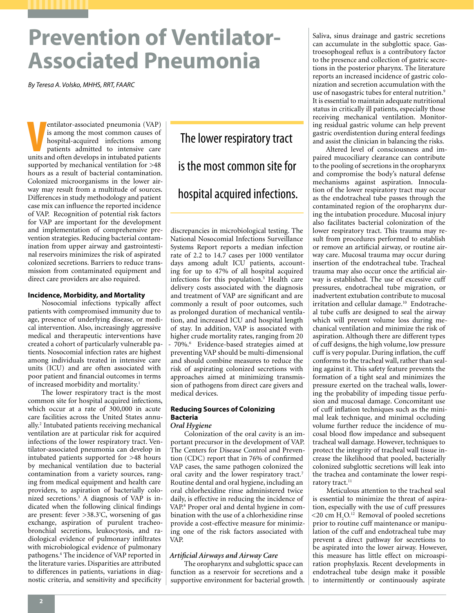# **Prevention of Ventilator-Associated Pneumonia**

*By Teresa A. Volsko, MHHS, RRT, FAARC*

entilator-associated pneumonia (VAP) is among the most common causes of hospital-acquired infections among patients admitted to intensive care units and often develops in intubated patients entilator-associated pneumonia (VAP) is among the most common causes of hospital-acquired infections among patients admitted to intensive care supported by mechanical ventilation for >48 hours as a result of bacterial contamination. Colonized microorganisms in the lower airway may result from a multitude of sources. Differences in study methodology and patient case mix can influence the reported incidence of VAP. Recognition of potential risk factors for VAP are important for the development and implementation of comprehensive prevention strategies. Reducing bacterial contamination from upper airway and gastrointestinal reservoirs minimizes the risk of aspirated colonized secretions. Barriers to reduce transmission from contaminated equipment and direct care providers are also required.

### **Incidence, Morbidity, and Mortality**

Nosocomial infections typically affect patients with compromised immunity due to age, presence of underlying disease, or medical intervention. Also, increasingly aggressive medical and therapeutic interventions have created a cohort of particularly vulnerable patients. Nosocomial infection rates are highest among individuals treated in intensive care units (ICU) and are often associated with poor patient and financial outcomes in terms of increased morbidity and mortality.1

The lower respiratory tract is the most common site for hospital acquired infections, which occur at a rate of 300,000 in acute care facilities across the United States annually.2 Intubated patients receiving mechanical ventilation are at particular risk for acquired infections of the lower respiratory tract. Ventilator-associated pneumonia can develop in intubated patients supported for >48 hours by mechanical ventilation due to bacterial contamination from a variety sources, ranging from medical equipment and health care providers, to aspiration of bacterially colonized secretions.3 A diagnosis of VAP is indicated when the following clinical findings are present: fever >38.3º C, worsening of gas exchange, aspiration of purulent tracheobronchial secretions, leukocytosis, and radiological evidence of pulmonary infiltrates with microbiological evidence of pulmonary pathogens.4 The incidence of VAP reported in the literature varies. Disparities are attributed to differences in patients, variations in diagnostic criteria, and sensitivity and specificity

The lower respiratory tract is the most common site for hospital acquired infections.

discrepancies in microbiological testing. The National Nosocomial Infections Surveillance Systems Report reports a median infection rate of 2.2 to 14.7 cases per 1000 ventilator days among adult ICU patients, accounting for up to 47% of all hospital acquired infections for this population.<sup>5</sup> Health care delivery costs associated with the diagnosis and treatment of VAP are significant and are commonly a result of poor outcomes, such as prolonged duration of mechanical ventilation, and increased ICU and hospital length of stay. In addition, VAP is associated with higher crude mortality rates, ranging from 20 - 70%.<sup>6</sup> Evidence-based strategies aimed at preventing VAP should be multi-dimensional and should combine measures to reduce the risk of aspirating colonized secretions with approaches aimed at minimizing transmission of pathogens from direct care givers and medical devices.

### **Reducing Sources of Colonizing Bacteria**

# *Oral Hygiene*

Colonization of the oral cavity is an important precursor in the development of VAP. The Centers for Disease Control and Prevention (CDC) report that in 76% of confirmed VAP cases, the same pathogen colonized the oral cavity and the lower respiratory tract.7 Routine dental and oral hygiene, including an oral chlorhexidine rinse administered twice daily, is effective in reducing the incidence of VAP.<sup>8</sup> Proper oral and dental hygiene in combination with the use of a chlorhexidine rinse provide a cost-effective measure for minimizing one of the risk factors associated with VAP.

### *Artificial Airways and Airway Care*

The oropharynx and subglottic space can function as a reservoir for secretions and a supportive environment for bacterial growth. Saliva, sinus drainage and gastric secretions can accumulate in the subglottic space. Gastroesophogeal reflux is a contributory factor to the presence and collection of gastric secretions in the posterior pharynx. The literature reports an increased incidence of gastric colonization and secretion accumulation with the use of nasogastric tubes for enteral nutrition.<sup>9</sup> It is essential to maintain adequate nutritional status in critically ill patients, especially those receiving mechanical ventilation. Monitoring residual gastric volume can help prevent gastric overdistention during enteral feedings and assist the clinician in balancing the risks.

Altered level of consciousness and impaired mucociliary clearance can contribute to the pooling of secretions in the oropharynx and compromise the body's natural defense mechanisms against aspiration. Innoculation of the lower respiratory tract may occur as the endotracheal tube passes through the contaminated region of the oropharynx during the intubation procedure. Mucosal injury also facilitates bacterial colonization of the lower respiratory tract. This trauma may result from procedures performed to establish or remove an artificial airway, or routine airway care. Mucosal trauma may occur during insertion of the endotracheal tube. Tracheal trauma may also occur once the artificial airway is established. The use of excessive cuff pressures, endotracheal tube migration, or inadvertent extubation contribute to mucosal irritation and cellular damage.10 Endotracheal tube cuffs are designed to seal the airway which will prevent volume loss during mechanical ventilation and minimize the risk of aspiration. Although there are different types of cuff designs, the high volume, low pressure cuff is very popular. During inflation, the cuff conforms to the tracheal wall, rather than sealing against it. This safety feature prevents the formation of a tight seal and minimizes the pressure exerted on the tracheal walls, lowering the probability of impeding tissue perfusion and mucosal damage. Concomitant use of cuff inflation techniques such as the minimal leak technique, and minimal occluding volume further reduce the incidence of mucosal blood flow impedance and subsequent tracheal wall damage. However, techniques to protect the integrity of tracheal wall tissue increase the likelihood that pooled, bacterially colonized subglottic secretions will leak into the trachea and contaminate the lower respiratory tract.<sup>11</sup>

Meticulous attention to the tracheal seal is essential to minimize the threat of aspiration, especially with the use of cuff pressures  $\leq$ 20 cm H<sub>2</sub>O.<sup>12</sup> Removal of pooled secretions prior to routine cuff maintenance or manipulation of the cuff and endotracheal tube may prevent a direct pathway for secretions to be aspirated into the lower airway. However, this measure has little effect on microaspiration prophylaxis. Recent developments in endotracheal tube design make it possible to intermittently or continuously aspirate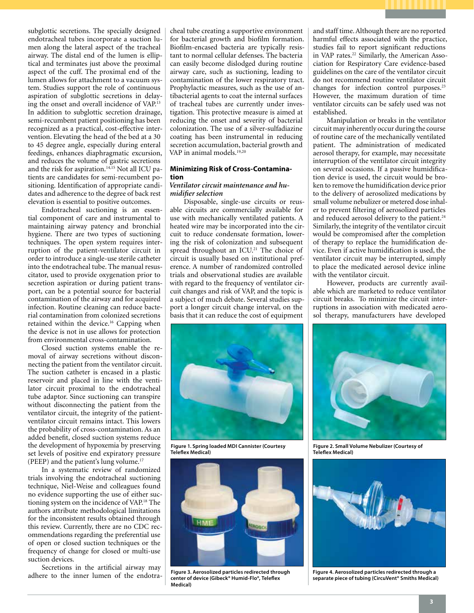subglottic secretions. The specially designed endotracheal tubes incorporate a suction lumen along the lateral aspect of the tracheal airway. The distal end of the lumen is elliptical and terminates just above the proximal aspect of the cuff. The proximal end of the lumen allows for attachment to a vacuum system. Studies support the role of continuous aspiration of subglottic secretions in delaying the onset and overall incidence of VAP.13 In addition to subglottic secretion drainage, semi-recumbent patient positioning has been recognized as a practical, cost-effective intervention. Elevating the head of the bed at a 30 to 45 degree angle, especially during enteral feedings, enhances diaphragmatic excursion, and reduces the volume of gastric secretions and the risk for aspiration.<sup>14,15</sup> Not all ICU patients are candidates for semi-recumbent positioning. Identification of appropriate candidates and adherence to the degree of back rest elevation is essential to positive outcomes.

Endotracheal suctioning is an essential component of care and instrumental to maintaining airway patency and bronchial hygiene. There are two types of suctioning techniques. The open system requires interruption of the patient-ventilator circuit in order to introduce a single-use sterile catheter into the endotracheal tube. The manual resuscitator, used to provide oxygenation prior to secretion aspiration or during patient transport, can be a potential source for bacterial contamination of the airway and for acquired infection. Routine cleaning can reduce bacterial contamination from colonized secretions retained within the device.<sup>16</sup> Capping when the device is not in use allows for protection from environmental cross-contamination.

Closed suction systems enable the removal of airway secretions without disconnecting the patient from the ventilator circuit. The suction catheter is encased in a plastic reservoir and placed in line with the ventilator circuit proximal to the endotracheal tube adaptor. Since suctioning can transpire without disconnecting the patient from the ventilator circuit, the integrity of the patientventilator circuit remains intact. This lowers the probability of cross-contamination. As an added benefit, closed suction systems reduce the development of hypoxemia by preserving set levels of positive end expiratory pressure (PEEP) and the patient's lung volume.17

In a systematic review of randomized trials involving the endotracheal suctioning technique, Niel-Weise and colleagues found no evidence supporting the use of either suctioning system on the incidence of VAP.18 The authors attribute methodological limitations for the inconsistent results obtained through this review. Currently, there are no CDC recommendations regarding the preferential use of open or closed suction techniques or the frequency of change for closed or multi-use suction devices.

Secretions in the artificial airway may adhere to the inner lumen of the endotracheal tube creating a supportive environment for bacterial growth and biofilm formation. Biofilm-encased bacteria are typically resistant to normal cellular defenses. The bacteria can easily become dislodged during routine airway care, such as suctioning, leading to contamination of the lower respiratory tract. Prophylactic measures, such as the use of antibacterial agents to coat the internal surfaces of tracheal tubes are currently under investigation. This protective measure is aimed at reducing the onset and severity of bacterial colonization. The use of a silver-sulfadiazine coating has been instrumental in reducing secretion accumulation, bacterial growth and VAP in animal models.19,20

### **Minimizing Risk of Cross-Contamination**

### *Ventilator circuit maintenance and humidifier selection*

Disposable, single-use circuits or reusable circuits are commercially available for use with mechanically ventilated patients. A heated wire may be incorporated into the circuit to reduce condensate formation, lowering the risk of colonization and subsequent spread throughout an ICU.<sup>21</sup> The choice of circuit is usually based on institutional preference. A number of randomized controlled trials and observational studies are available with regard to the frequency of ventilator circuit changes and risk of VAP, and the topic is a subject of much debate. Several studies support a longer circuit change interval, on the basis that it can reduce the cost of equipment



**Figure 1. Spring loaded MDI Cannister (Courtesy Teleflex Medical)**



**Figure 3. Aerosolized particles redirected through center of device (Gibeck® Humid-Flo®, Teleflex Medical)**

and staff time. Although there are no reported harmful effects associated with the practice, studies fail to report significant reductions in VAP rates.<sup>22</sup> Similarly, the American Association for Respiratory Care evidence-based guidelines on the care of the ventilator circuit do not recommend routine ventilator circuit changes for infection control purposes.23 However, the maximum duration of time ventilator circuits can be safely used was not established.

Manipulation or breaks in the ventilator circuit may inherently occur during the course of routine care of the mechanically ventilated patient. The administration of medicated aerosol therapy, for example, may necessitate interruption of the ventilator circuit integrity on several occasions. If a passive humidification device is used, the circuit would be broken to remove the humidification device prior to the delivery of aerosolized medications by small volume nebulizer or metered dose inhaler to prevent filtering of aerosolized particles and reduced aerosol delivery to the patient.<sup>24</sup> Similarly, the integrity of the ventilator circuit would be compromised after the completion of therapy to replace the humidification device. Even if active humidification is used, the ventilator circuit may be interrupted, simply to place the medicated aerosol device inline with the ventilator circuit.

However, products are currently available which are marketed to reduce ventilator circuit breaks. To minimize the circuit interruptions in association with medicated aerosol therapy, manufacturers have developed



**Figure 2. Small Volume Nebulizer (Courtesy of Teleflex Medical)**



**Figure 4. Aerosolized particles redirected through a separate piece of tubing (CircuVent® Smiths Medical)**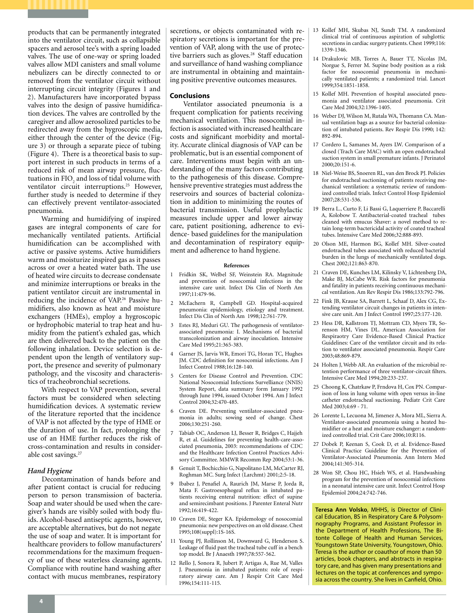products that can be permanently integrated into the ventilator circuit, such as collapsible spacers and aerosol tee's with a spring loaded valves. The use of one-way or spring loaded valves allow MDI canisters and small volume nebulizers can be directly connected to or removed from the ventilator circuit without interrupting circuit integrity (Figures 1 and 2). Manufacturers have incorporated bypass valves into the design of passive humidification devices. The valves are controlled by the caregiver and allow aerosolized particles to be redirected away from the hygroscopic media, either through the center of the device (Figure 3) or through a separate piece of tubing (Figure 4). There is a theoretical basis to support interest in such products in terms of a reduced risk of mean airway pressure, fluctuations in  $FIO<sub>2</sub>$  and loss of tidal volume with ventilator circuit interruptions.<sup>25</sup> However, further study is needed to determine if they can effectively prevent ventilator-associated pneumonia.

Warming and humidifying of inspired gases are integral components of care for mechanically ventilated patients. Artificial humidification can be accomplished with active or passive systems. Active humidifiers warm and moisturize inspired gas as it passes across or over a heated water bath. The use of heated wire circuits to decrease condensate and minimize interruptions or breaks in the patient ventilator circuit are instrumental in reducing the incidence of VAP.<sup>26</sup> Passive humidifiers, also known as heat and moisture exchangers (HMEs), employ a hygroscopic or hydrophobic material to trap heat and humidity from the patient's exhaled gas, which are then delivered back to the patient on the following inhalation. Device selection is dependent upon the length of ventilatory support, the presence and severity of pulmonary pathology, and the viscosity and characteristics of tracheobronchial secretions.

With respect to VAP prevention, several factors must be considered when selecting humidification devices. A systematic review of the literature reported that the incidence of VAP is not affected by the type of HME or the duration of use. In fact, prolonging the use of an HME further reduces the risk of cross-contamination and results in considerable cost savings.27

### *Hand Hygiene*

Decontamination of hands before and after patient contact is crucial for reducing person to person transmission of bacteria. Soap and water should be used when the caregiver's hands are visibly soiled with body fluids. Alcohol-based antiseptic agents, however, are acceptable alternatives, but do not negate the use of soap and water. It is important for healthcare providers to follow manufacturers' recommendations for the maximum frequency of use of these waterless cleansing agents. Compliance with routine hand washing after contact with mucus membranes, respiratory

secretions, or objects contaminated with respiratory secretions is important for the prevention of VAP, along with the use of protective barriers such as gloves.<sup>28</sup> Staff education and surveillance of hand washing compliance are instrumental in obtaining and maintaining positive preventive outcomes measures.

### **Conclusions**

Ventilator associated pneumonia is a frequent complication for patients receiving mechanical ventilation. This nosocomial infection is associated with increased healthcare costs and significant morbidity and mortality. Accurate clinical diagnosis of VAP can be problematic, but is an essential component of care. Interventions must begin with an understanding of the many factors contributing to the pathogenesis of this disease. Comprehensive preventive strategies must address the reservoirs and sources of bacterial colonization in addition to minimizing the routes of bacterial transmission. Useful prophylactic measures include upper and lower airway care, patient positioning, adherence to evidence- based guidelines for the manipulation and decontamination of respiratory equipment and adherence to hand hygiene.

#### **References**

- 1 Fridkin SK, Welbel SF, Weinstein RA. Magnitude and prevention of nosocomial infections in the intensive care unit. Infect Dis Clin of North Am 1997;11:479-96.
- 2 McEachern R, Campbell GD. Hospital-acquired pneumonia: epidemiology, etiology and treatment. Infect Dis Clin of North Am 1998;12:761-779.
- 3 Estes RJ, Meduri GU. The pathogenesis of ventilatorassociated pneumonia: I. Mechanisms of bacterial transcolonization and airway inoculation. Intensive Care Med 1995;21:365-383.
- 4 Garner JS, Jarvis WR, Emori TG, Horan TC, Hughes JM. CDC definition for nosocomial infections. Am J Infect Control 1988;16:128-140.
- 5 Centers for Disease Control and Prevention. CDC National Nosocomial Infections Survelliance (NNIS) System Report, data summary form January 1992 through June 1994, issued October 1994. Am J Infect Control 2004;32:470-485.
- 6 Craven DE. Preventing ventilator-associated pneumonia in adults; sowing seed of change. Chest 2006;130:251-260.
- 7 Tabiab OC, Anderson LJ, Besser R, Bridges C, Hajjeh R, et al. Guidelines for preventing health-care-associated pneumonia, 2003: recommendations of CDC and the Healthcare Infection Control Practices Advisory Committee. MMWR Recomm Rep 2004;53:1-36.
- 8 Genuit T, Bochicchio G, Napolitano LM, McCarter RJ, Roghman MC. Surg Infect (Larchmt) 2001;2:5-18.
- 9 Ibabez J, Penafiel A, Raurich JM, Marse P, Jorda R, Mata F. Gastroesophogeal reflux in intubated patients receiving enteral nutrition: effect of supine and semirecimbant positions. J Parenter Enteral Nutr 1992;16:419-422.
- 10 Craven DE, Steger KA. Epidemology of nosocomial pneumonia: new perspectives on an old disease. Chest 1995;108(suppl):1S-16S.
- 11 Young PJ, Rollinson M, Downward G, Henderson S. Leakage of fluid past the tracheal tube cuff in a bench top model. Br J Anaesth 1997;78:557-562.
- 12 Rello J, Sonora R, Jubert P, Artigas A, Rue M, Valles J. Pneumonia in intubated patients: role of respiratory airway care. Am J Respir Crit Care Med 1996;154:111-115.
- 13 Kollef MH, Skubas NJ, Sundt TM. A randomized clinical trial of continuous aspiration of subglottic secretions in cardiac surgery patients. Chest 1999;116: 1339-1346.
- 14 Drakulovic MB, Torres A, Bauer TT, Nicolas JM, Norgue S, Ferrer M. Supine body position as a risk factor for nosocomial pneumonia in mechanically ventilated patients; a randomized trial. Lancet 1999;354:1851-1858.
- 15 Kollef MH. Prevention of hospital associated pneumonia and ventilator associated pneumonia. Crit Care Med 2004;32:1396-1405.
- 16 Weber DJ, Wilson M, Rutala WA, Thomann CA. Manual ventilation bags as a source for bacterial colonization of intubated patients. Rev Respir Dis 1990; 142: 892-894.
- 17 Cordero L, Samanes M, Ayers LW. Comparison of a closed (Trach Care MAC) with an open endotracheal suction system in small premature infants. J Perinatol 2000;20:151-6.
- 18 Niel-Weise BS, Snoeren RL, van den Brock PJ. Policies for endotracheal suctioning of patients receiving mechanical ventilation: a systematic review of randomized controlled trials. Infect Control Hosp Epidemiol 2007;28:531-536.
- 19 Berra L., Curto F, Li Bassi G, Laquerriere P, Baccarelli A, Kolobow T. Antibacterial-coated tracheal tubes cleaned with emucus Shaver: a novel method to retain long-term bactericidal activity of coated tracheal tubes. Intensive Care Med 2006;32:888-893.
- 20 Olson ME, Harmon BG, Kollef MH. Silver-coated endotracheal tubes associated with reduced bacterial burden in the lungs of mechanically ventilated dogs. Chest 2002;121:863-870.
- 21 Craven DE, Kunches LM, Kilinsky V, Lichtenberg DA, Make BJ, McCabe WR. Risk factors for pneumonia and fatality in patients receiving continuous mechanical ventilation. Am Rev Respir Dis 1986;133:792-796.
- 22 Fink JB, Krause SA, Barrett L, Schaaf D, Alex CG, Extending ventilator circuit changes in patients in intensive care unit. Am J Infect Control 1997;25:177-120.
- 23 Hess DR, Kallstrom TJ, Mottram CD, Myers TR, Sorenson HM, Vines DL. American Association for Respiraotry Care Evidence-Based Clinical Practice Guidelines: Care of the ventilator circuit and its relation to ventilator associated pneumonia. Respir Care 2003;48:869-879.
- 24 Holten J, Webb AR. An evaluation of the microbial retention performance of three ventilator-circuit filters. Intensive Care Med 1994;20:233-237.
- 25 Choong K, Chatrkaw P, Frndova H, Cox PN. Comparison of loss in lung volume with open versus in-line catheter endotracheal suctioning. Pediatr Crit Care Med 2003;4:69 - 71.
- 26 Lorente L, Lecuona M, Jimenez A, Mora ML, Sierra A. Ventilator-associated pneumonia using a heated humidifier or a heat and moisture exchanger: a randomized controlled trial. Crit Care 2006;10:R116.
- 27 Dobek P, Keenan S, Cook D, et al. Evidence-Based Clinical Practice Guideline for the Prevention of Ventilator-Associated Pneumonia. Ann Intern Med 2004;141:305-314.
- 28 Won SP, Chou HC, Hsieh WS, et al. Handwashing program for the prevention of nosocomial infections in a neonatal intensive care unit. Infect Control Hosp Epidemiol 2004;24:742-746.

**Teresa Ann Volsko**, MHHS, is Director of Clinical Education, BS in Respiratory Care & Polysomnography Programs, and Assistant Professor in the Department of Health Professions, The Bitonte College of Health and Human Services, Youngstown State University, Youngstown, Ohio. Teresa is the author or coauthor of more than 50 articles, book chapters, and abstracts in respiratory care, and has given many presentations and lectures on the topic at conferences and symposia across the country. She lives in Canfield, Ohio.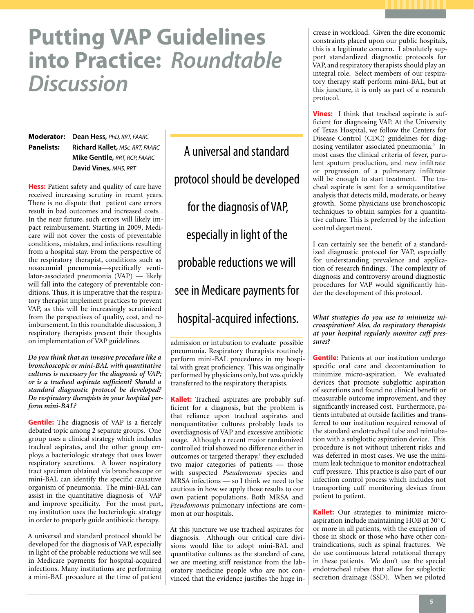# **Putting VAP Guidelines into Practice:** *Roundtable Discussion*

**Moderator: Dean Hess,** *PhD, RRT, FAARC* **Panelists: Richard Kallet,** *MSc, RRT, FAARC* **Mike Gentile,** *RRT, RCP, FAARC* **David Vines,** *MHS, RRT*

**Hess:** Patient safety and quality of care have received increasing scrutiny in recent years. There is no dispute that patient care errors result in bad outcomes and increased costs . In the near future, such errors will likely impact reimbursement. Starting in 2009, Medicare will not cover the costs of preventable conditions, mistakes, and infections resulting from a hospital stay. From the perspective of the respiratory therapist, conditions such as nosocomial pneumonia—specifically ventilator-associated pneumonia (VAP) — likely will fall into the category of preventable conditions. Thus, it is imperative that the respiratory therapist implement practices to prevent VAP, as this will be increasingly scrutinized from the perspectives of quality, cost, and reimbursement. In this roundtable discussion, 3 respiratory therapists present their thoughts on implementation of VAP guidelines.

*Do you think that an invasive procedure like a bronchoscopic or mini-BAL with quantitative cultures is necessary for the diagnosis of VAP; or is a tracheal aspirate sufficient? Should a standard diagnostic protocol be developed? Do respiratory therapists in your hospital perform mini-BAL?* 

**Gentile:** The diagnosis of VAP is a fiercely debated topic among 2 separate groups. One group uses a clinical strategy which includes tracheal aspirates, and the other group employs a bacteriologic strategy that uses lower respiratory secretions. A lower respiratory tract specimen obtained via bronchoscope or mini-BAL can identify the specific causative organism of pneumonia. The mini-BAL can assist in the quantitative diagnosis of VAP and improve specificity. For the most part, my institution uses the bacteriologic strategy in order to properly guide antibiotic therapy.

A universal and standard protocol should be developed for the diagnosis of VAP, especially in light of the probable reductions we will see in Medicare payments for hospital-acquired infections. Many institutions are performing a mini-BAL procedure at the time of patient

A universal and standard protocol should be developed for the diagnosis of VAP, especially in light of the probable reductions we will see in Medicare payments for hospital-acquired infections.

admission or intubation to evaluate possible pneumonia. Respiratory therapists routinely perform mini-BAL procedures in my hospital with great proficiency. This was originally performed by physicians only, but was quickly transferred to the respiratory therapists.

**Kallet:** Tracheal aspirates are probably sufficient for a diagnosis, but the problem is that reliance upon tracheal aspirates and nonquantitative cultures probably leads to overdiagnosis of VAP and excessive antibiotic usage. Although a recent major randomized controlled trial showed no difference either in outcomes or targeted therapy,<sup>1</sup> they excluded two major categories of patients — those with suspected *Pseudomonas* species and MRSA infections — so I think we need to be cautious in how we apply those results to our own patient populations. Both MRSA and *Pseudomonas* pulmonary infections are common at our hospitals.

At this juncture we use tracheal aspirates for diagnosis. Although our critical care divisions would like to adopt mini-BAL and quantitative cultures as the standard of care, we are meeting stiff resistance from the laboratory medicine people who are not convinced that the evidence justifies the huge increase in workload. Given the dire economic constraints placed upon our public hospitals, this is a legitimate concern. I absolutely support standardized diagnostic protocols for VAP, and respiratory therapists should play an integral role. Select members of our respiratory therapy staff perform mini-BAL, but at this juncture, it is only as part of a research protocol.

**Vines:** I think that tracheal aspirate is sufficient for diagnosing VAP. At the University of Texas Hospital, we follow the Centers for Disease Control (CDC) guidelines for diagnosing ventilator associated pneumonia.<sup>2</sup> In most cases the clinical criteria of fever, purulent sputum production, and new infiltrate or progression of a pulmonary infiltrate will be enough to start treatment. The tracheal aspirate is sent for a semiquantitative analysis that detects mild, moderate, or heavy growth. Some physicians use bronchoscopic techniques to obtain samples for a quantitative culture. This is preferred by the infection control department.

I can certainly see the benefit of a standardized diagnostic protocol for VAP, especially for understanding prevalence and application of research findings. The complexity of diagnosis and controversy around diagnostic procedures for VAP would significantly hinder the development of this protocol.

*What strategies do you use to minimize microaspiration? Also, do respiratory therapists at your hospital regularly monitor cuff pressures?* 

**Gentile:** Patients at our institution undergo specific oral care and decontamination to minimize micro-aspiration. We evaluated devices that promote subglottic aspiration of secretions and found no clinical benefit or measurable outcome improvement, and they significantly increased cost. Furthermore, patients intubated at outside facilities and transferred to our institution required removal of the standard endotracheal tube and reintubation with a subglottic aspiration device. This procedure is not without inherent risks and was deferred in most cases. We use the minimum leak technique to monitor endotracheal cuff pressure. This practice is also part of our infection control process which includes not transporting cuff monitoring devices from patient to patient.

**Kallet:** Our strategies to minimize microaspiration include maintaining HOB at 30°C or more in all patients, with the exception of those in shock or those who have other contraindications, such as spinal fractures. We do use continuous lateral rotational therapy in these patients. We don't use the special endotracheal tubes that allow for subglottic secretion drainage (SSD). When we piloted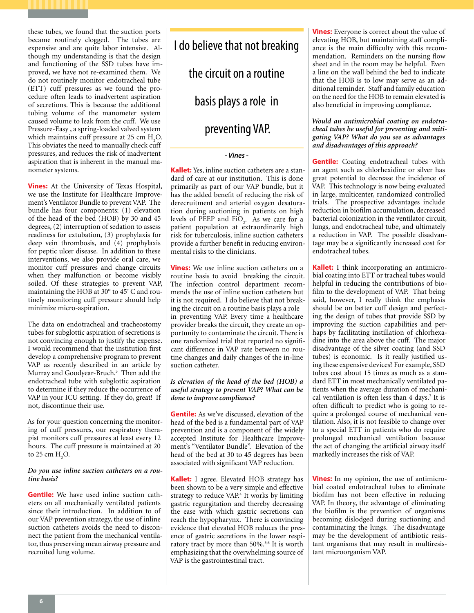these tubes, we found that the suction ports became routinely clogged. The tubes are expensive and are quite labor intensive. Although my understanding is that the design and functioning of the SSD tubes have improved, we have not re-examined them. We do not routinely monitor endotracheal tube (ETT) cuff pressures as we found the procedure often leads to inadvertent aspiration of secretions. This is because the additional tubing volume of the manometer system caused volume to leak from the cuff. We use Pressure-Easy, a spring-loaded valved system which maintains cuff pressure at  $25 \text{ cm H}_{2}$ O. This obviates the need to manually check cuff pressures, and reduces the risk of inadvertent aspiration that is inherent in the manual manometer systems.

**Vines:** At the University of Texas Hospital, we use the Institute for Healthcare Improvement's Ventilator Bundle to prevent VAP. The bundle has four components: (1) elevation of the head of the bed (HOB) by 30 and 45 degrees, (2) interruption of sedation to assess readiness for extubation, (3) prophylaxis for deep vein thrombosis, and (4) prophylaxis for peptic ulcer disease. In addition to these interventions, we also provide oral care, we monitor cuff pressures and change circuits when they malfunction or become visibly soiled. Of these strategies to prevent VAP, maintaining the HOB at 30° to 45º C and routinely monitoring cuff pressure should help minimize micro-aspiration.

The data on endotracheal and tracheostomy tubes for subglottic aspiration of secretions is not convincing enough to justify the expense. I would recommend that the institution first develop a comprehensive program to prevent VAP as recently described in an article by Murray and Goodyear-Bruch.<sup>3</sup> Then add the endotracheal tube with subglottic aspiration to determine if they reduce the occurrence of VAP in your ICU setting. If they do, great! If not, discontinue their use.

As for your question concerning the monitoring of cuff pressures, our respiratory therapist monitors cuff pressures at least every 12 hours. The cuff pressure is maintained at 20 to 25 cm  $H_2O$ .

### *Do you use inline suction catheters on a routine basis?*

**Gentile:** We have used inline suction catheters on all mechanically ventilated patients since their introduction. In addition to of our VAP prevention strategy, the use of inline suction catheters avoids the need to disconnect the patient from the mechanical ventilator, thus preserving mean airway pressure and recruited lung volume.

I do believe that not breaking the circuit on a routine basis plays a role in preventing VAP.

### *- Vines -*

**Kallet:** Yes, inline suction catheters are a standard of care at our institution. This is done primarily as part of our VAP bundle, but it has the added benefit of reducing the risk of derecruitment and arterial oxygen desaturation during suctioning in patients on high levels of PEEP and  $FiO_2$ . As we care for a patient population at extraordinarily high risk for tuberculosis, inline suction catheters provide a further benefit in reducing environmental risks to the clinicians.

**Vines:** We use inline suction catheters on a routine basis to avoid breaking the circuit. The infection control department recommends the use of inline suction catheters but it is not required. I do believe that not breaking the circuit on a routine basis plays a role in preventing VAP. Every time a healthcare provider breaks the circuit, they create an opportunity to contaminate the circuit. There is one randomized trial that reported no significant difference in VAP rate between no routine changes and daily changes of the in-line suction catheter.

### *Is elevation of the head of the bed (HOB) a useful strategy to prevent VAP? What can be done to improve compliance?*

**Gentile:** As we've discussed, elevation of the head of the bed is a fundamental part of VAP prevention and is a component of the widely accepted Institute for Healthcare Improvement's "Ventilator Bundle". Elevation of the head of the bed at 30 to 45 degrees has been associated with significant VAP reduction.

**Kallet:** I agree. Elevated HOB strategy has been shown to be a very simple and effective strategy to reduce VAP.4 It works by limiting gastric regurgitation and thereby decreasing the ease with which gastric secretions can reach the hypopharynx. There is convincing evidence that elevated HOB reduces the presence of gastric secretions in the lower respiratory tract by more than 50%.<sup>5,6</sup> It is worth emphasizing that the overwhelming source of VAP is the gastrointestinal tract.

**Vines:** Everyone is correct about the value of elevating HOB, but maintaining staff compliance is the main difficulty with this recommendation. Reminders on the nursing flow sheet and in the room may be helpful. Even a line on the wall behind the bed to indicate that the HOB is to low may serve as an additional reminder. Staff and family education on the need for the HOB to remain elevated is also beneficial in improving compliance.

### *Would an antimicrobial coating on endotracheal tubes be useful for preventing and mitigating VAP? What do you see as advantages and disadvantages of this approach?*

**Gentile:** Coating endotracheal tubes with an agent such as chlorhexidine or silver has great potential to decrease the incidence of VAP. This technology is now being evaluated in large, multicenter, randomized controlled trials. The prospective advantages include reduction in biofilm accumulation, decreased bacterial colonization in the ventilator circuit, lungs, and endotracheal tube, and ultimately a reduction in VAP. The possible disadvantage may be a significantly increased cost for endotracheal tubes.

**Kallet:** I think incorporating an antimicrobial coating into ETT or tracheal tubes would helpful in reducing the contributions of biofilm to the development of VAP. That being said, however, I really think the emphasis should be on better cuff design and perfecting the design of tubes that provide SSD by improving the suction capabilities and perhaps by facilitating instillation of chlorhexadine into the area above the cuff. The major disadvantage of the silver coating (and SSD tubes) is economic. Is it really justified using these expensive devices? For example, SSD tubes cost about 15 times as much as a standard ETT in most mechanically ventilated patients when the average duration of mechanical ventilation is often less than 4 days.<sup>7</sup> It is often difficult to predict who is going to require a prolonged course of mechanical ventilation. Also, it is not feasible to change over to a special ETT in patients who do require prolonged mechanical ventilation because the act of changing the artificial airway itself markedly increases the risk of VAP.

**Vines:** In my opinion, the use of antimicrobial coated endotracheal tubes to eliminate biofilm has not been effective in reducing VAP. In theory, the advantage of eliminating the biofilm is the prevention of organisms becoming dislodged during suctioning and contaminating the lungs. The disadvantage may be the development of antibiotic resistant organisms that may result in multiresistant microorganism VAP.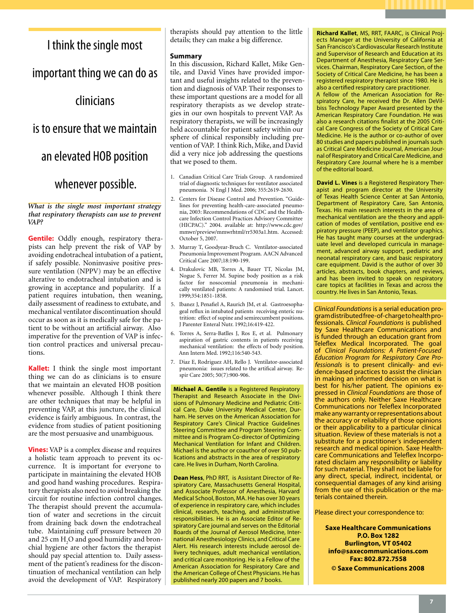# I think the single most

important thing we can do as

# clinicians

# is to ensure that we maintain

an elevated HOB position

# whenever possible.

*What is the single most important strategy that respiratory therapists can use to prevent VAP?* 

**Gentile:** Oddly enough, respiratory therapists can help prevent the risk of VAP by avoiding endotracheal intubation of a patient, if safely possible. Noninvasive positive pressure ventilation (NPPV) may be an effective alterative to endotracheal intubation and is growing in acceptance and popularity. If a patient requires intubation, then weaning, daily assessment of readiness to extubate, and mechanical ventilator discontinuation should occur as soon as it is medically safe for the patient to be without an artificial airway. Also imperative for the prevention of VAP is infection control practices and universal precautions.

**Kallet:** I think the single most important thing we can do as clinicians is to ensure that we maintain an elevated HOB position whenever possible. Although I think there are other techniques that may be helpful in preventing VAP, at this juncture, the clinical evidence is fairly ambiguous. In contrast, the evidence from studies of patient positioning are the most persuasive and unambiguous.

**Vines:** VAP is a complex disease and requires a holistic team approach to prevent its occurrence. It is important for everyone to participate in maintaining the elevated HOB and good hand washing procedures. Respiratory therapists also need to avoid breaking the circuit for routine infection control changes. The therapist should prevent the accumulation of water and secretions in the circuit from draining back down the endotracheal tube. Maintaining cuff pressure between 20 and 25 cm  $H_2O$  and good humidity and bronchial hygiene are other factors the therapist should pay special attention to. Daily assessment of the patient's readiness for the discontinuation of mechanical ventilation can help avoid the development of VAP. Respiratory therapists should pay attention to the little details; they can make a big difference.

### **Summary**

In this discussion, Richard Kallet, Mike Gentile, and David Vines have provided important and useful insights related to the prevention and diagnosis of VAP. Their responses to these important questions are a model for all respiratory therapists as we develop strategies in our own hospitals to prevent VAP. As respiratory therapists, we will be increasingly held accountable for patient safety within our sphere of clinical responsibly including prevention of VAP. I think Rich, Mike, and David did a very nice job addressing the questions that we posed to them.

- 1. Canadian Critical Care Trials Group. A randomized trial of diagnostic techniques for ventilator associated pneumonia. N Engl J Med. 2006; 355:2619-2630.
- 2. Centers for Disease Control and Prevention. "Guidelines for preventing health-care-associated pneumonia, 2003: Recommendations of CDC and the Healthcare Infection Control Practices Advisory Committee (HICPAC)." 2004. available at: http://www.cdc.gov/ mmwr/preview/mmwrhtml/rr5303a1.htm. Accessed: October 5, 2007.
- 3. Murray T, Goodyear-Bruch C. Ventilator-associated Pneumonia Improvement Program. AACN Advanced Critical Care 2007;18:190-199.
- 4. Drakulovic MB, Torres A, Bauer TT, Nicolas JM, Nogue S, Ferrer M. Supine body position as a risk factor for nosocomial pneumonia in mechanically ventilated patients: A randomised trial. Lancet. 1999;354:1851-1858.
- 5. Ibanez J, Penafiel A, Raurich JM, et al. Gastroesophageal reflux in intubated patients receiving enteric nutrition: effect of supine and semirecumbent positions. J Parenter Enteral Nutr. 1992;16:419-422.
- 6. Torres A, Serra-Batlles J, Ros E, et al. Pulmonary aspiration of gastric contents in patients receiving mechanical ventilation: the effects of body position. Ann Intern Med. 1992;116:540-543.
- 7. Diaz E, Rodriguez AH, Rello J. Ventilator-associated pneumonia: issues related to the artifical airway. Respir Care 2005; 50(7):900-906.

**Michael A. Gentile** is a Registered Respiratory Therapist and Research Associate in the Divisions of Pulmonary Medicine and Pediatric Critical Care, Duke University Medical Center, Durham. He serves on the American Association for Respiratory Care's Clinical Practice Guidelines Steering Committee and Program Steering Committee and is Program Co-director of Optimizing Mechanical Ventilation for Infant and Children. Michael is the author or coauthor of over 50 publications and abstracts in the area of respiratory care. He lives in Durham, North Carolina.

**Dean Hess**, PhD RRT, is Assistant Director of Respiratory Care, Massachusetts General Hospital, and Associate Professor of Anesthesia, Harvard Medical School, Boston, MA. He has over 30 years of experience in respiratory care, which includes clinical, research, teaching, and administrative responsibilities. He is an Associate Editor of Respiratory Care journal and serves on the Editorial Boards of the Journal of Aerosol Medicine, International Anesthesiology Clinics, and Critical Care Alert. His research interests include aerosol delivery techniques, adult mechanical ventilation, and critical care monitoring. He is a Fellow of the American Association for Respiratory Care and the American College of Chest Physicians. He has published nearly 200 papers and 7 books.

**Richard Kallet**, MS, RRT, FAARC, is Clinical Projects Manager at the University of California at San Francisco's Cardiovascular Research Institute and Supervisor of Research and Education at its Department of Anesthesia, Respiratory Care Services. Chairman, Respiratory Care Section, of the Society of Critical Care Medicine, he has been a registered respiratory therapist since 1980. He is also a certified respiratory care practitioner.

A fellow of the American Association for Respiratory Care, he received the Dr. Allen DeVilbiss Technology Paper Award presented by the American Respiratory Care Foundation. He was also a research citations finalist at the 2005 Critical Care Congress of the Society of Critical Care Medicine. He is the author or co-author of over 80 studies and papers published in journals such as Critical Care Medicine Journal, American Journal of Respiratory and Critical Care Medicine, and Respiratory Care Journal where he is a member of the editorial board.

**David L. Vines** is a Registered Respiratory Therapist and program director at the University of Texas Health Science Center at San Antonio, Department of Respiratory Care, San Antonio, Texas. His main research interests in the area of mechanical ventilation are the theory and application of modes of ventilation, positive end expiratory pressure (PEEP), and ventilator graphics. He has taught many courses at the undergraduate level and developed curricula in management, advanced airway support, pediatric and neonatal respiratory care, and basic respiratory care equipment. David is the author of over 30 articles, abstracts, book chapters, and reviews, and has been invited to speak on respiratory care topics at facilities in Texas and across the country. He lives in San Antonio, Texas.

*Clinical Foundations* is a serial education program distributed free-of-charge to health professionals. *Clinical Foundations* is published by Saxe Healthcare Communications and is funded through an education grant from Teleflex Medical Incorporated. The goal of *Clinical Foundations: A Patient-Focused Education Program for Respiratory Care Professionals* is to present clinically- and evidence-based practices to assist the clinician in making an informed decision on what is best for his/her patient. The opinions expressed in *Clinical Foundations* are those of the authors only. Neither Saxe Healthcare Communications nor Teleflex Incorporated make any warranty or representations about the accuracy or reliability of those opinions or their applicability to a particular clinical situation. Review of these materials is not a substitute for a practitioner's independent research and medical opinion. Saxe Healthcare Communications and Teleflex Incorporated disclaim any responsibility or liability for such material. They shall not be liable for any direct, special, indirect, incidental, or consequential damages of any kind arising from the use of this publication or the materials contained therein.

Please direct your correspondence to:

**Saxe Healthcare Communications P.O. Box 1282 Burlington, VT 05402 info@saxecommunications.com Fax: 802.872.7558 © Saxe Communications 2008**